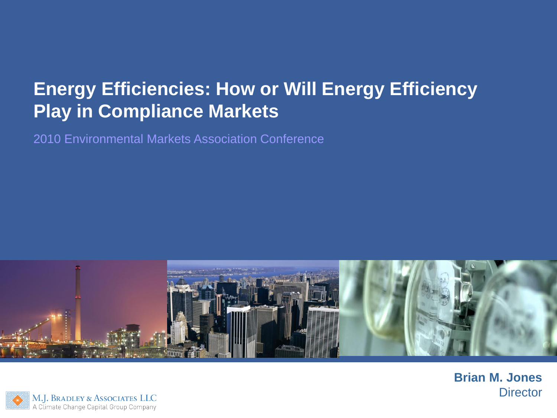# **Energy Efficiencies: How or Will Energy Efficiency Play in Compliance Markets**

2010 Environmental Markets Association Conference



**Brian M. Jones Director** 

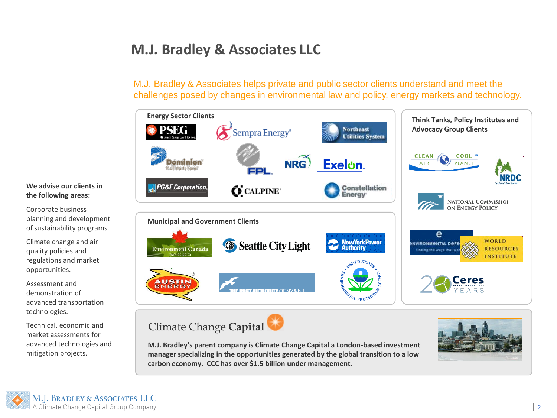# **M.J. Bradley & Associates LLC**

M.J. Bradley & Associates helps private and public sector clients understand and meet the challenges posed by changes in environmental law and policy, energy markets and technology.



Climate Change **Capital**

**M.J. Bradley's parent company is Climate Change Capital a London-based investment manager specializing in the opportunities generated by the global transition to a low carbon economy. CCC has over \$1.5 billion under management.** 



#### **We advise our clients in the following areas:**

Corporate business planning and development of sustainability programs.

Climate change and air quality policies and regulations and market opportunities.

Assessment and demonstration of advanced transportation technologies.

Technical, economic and market assessments for advanced technologies and mitigation projects.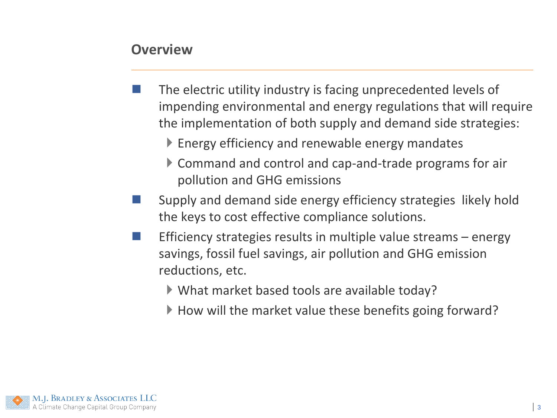#### **Overview**

- The electric utility industry is facing unprecedented levels of impending environmental and energy regulations that will require the implementation of both supply and demand side strategies:
	- ▶ Energy efficiency and renewable energy mandates
	- Command and control and cap-and-trade programs for air pollution and GHG emissions
- Supply and demand side energy efficiency strategies likely hold the keys to cost effective compliance solutions.
- Efficiency strategies results in multiple value streams energy savings, fossil fuel savings, air pollution and GHG emission reductions, etc.
	- What market based tools are available today?
	- ▶ How will the market value these benefits going forward?

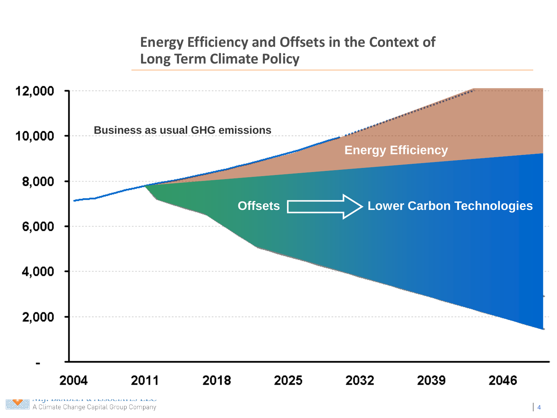# **Energy Efficiency and Offsets in the Context of Long Term Climate Policy**

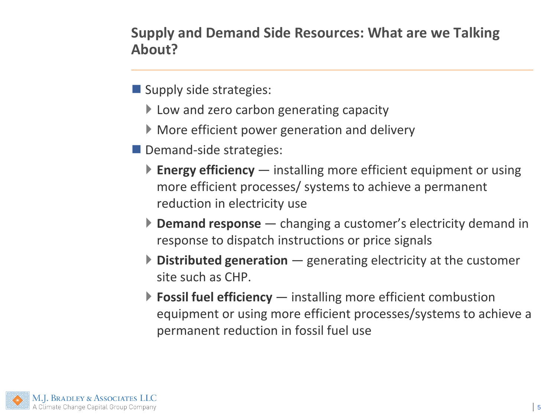**Supply and Demand Side Resources: What are we Talking About?** 

- $\blacksquare$  Supply side strategies:
	- ▶ Low and zero carbon generating capacity
	- More efficient power generation and delivery
- Demand-side strategies:
	- **Energy efficiency** installing more efficient equipment or using more efficient processes/ systems to achieve a permanent reduction in electricity use
	- **Demand response** changing a customer's electricity demand in response to dispatch instructions or price signals
	- **Distributed generation** generating electricity at the customer site such as CHP.
	- **Fossil fuel efficiency** installing more efficient combustion equipment or using more efficient processes/systems to achieve a permanent reduction in fossil fuel use

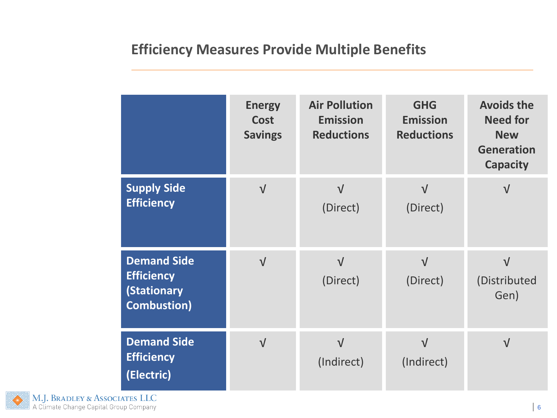# **Efficiency Measures Provide Multiple Benefits**

|                                                                                      | <b>Energy</b><br><b>Cost</b><br><b>Savings</b> | <b>Air Pollution</b><br><b>Emission</b><br><b>Reductions</b> | <b>GHG</b><br><b>Emission</b><br><b>Reductions</b> | <b>Avoids the</b><br><b>Need for</b><br><b>New</b><br><b>Generation</b><br><b>Capacity</b> |
|--------------------------------------------------------------------------------------|------------------------------------------------|--------------------------------------------------------------|----------------------------------------------------|--------------------------------------------------------------------------------------------|
| <b>Supply Side</b><br><b>Efficiency</b>                                              | $\sqrt{}$                                      | $\sqrt{ }$<br>(Direct)                                       | $\sqrt{ }$<br>(Direct)                             | $\sqrt{ }$                                                                                 |
| <b>Demand Side</b><br><b>Efficiency</b><br><b>(Stationary</b><br><b>Combustion</b> ) | $\sqrt{}$                                      | $\sqrt{ }$<br>(Direct)                                       | $\sqrt{ }$<br>(Direct)                             | $\sqrt{ }$<br>(Distributed<br>Gen)                                                         |
| <b>Demand Side</b><br><b>Efficiency</b><br>(Electric)                                | $\sqrt{}$                                      | $\sqrt{ }$<br>(Indirect)                                     | $\sqrt{ }$<br>(Indirect)                           | $\sqrt{ }$                                                                                 |

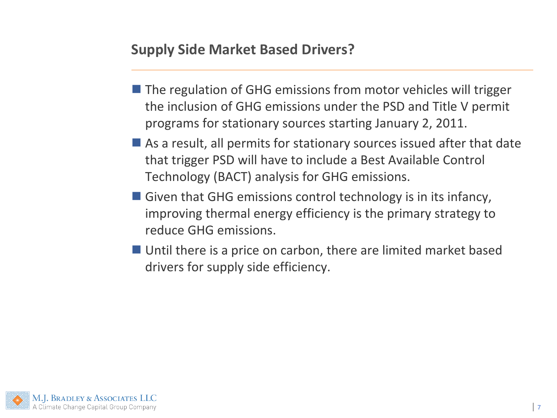## **Supply Side Market Based Drivers?**

- $\blacksquare$  The regulation of GHG emissions from motor vehicles will trigger the inclusion of GHG emissions under the PSD and Title V permit programs for stationary sources starting January 2, 2011.
- $\blacksquare$  As a result, all permits for stationary sources issued after that date that trigger PSD will have to include a Best Available Control Technology (BACT) analysis for GHG emissions.
- Given that GHG emissions control technology is in its infancy, improving thermal energy efficiency is the primary strategy to reduce GHG emissions.
- Until there is a price on carbon, there are limited market based drivers for supply side efficiency.

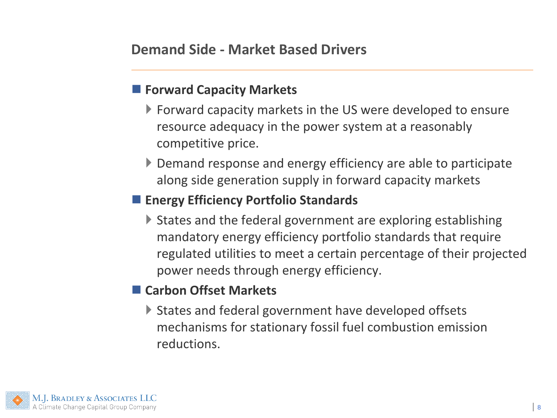#### **Forward Capacity Markets**

- Forward capacity markets in the US were developed to ensure resource adequacy in the power system at a reasonably competitive price.
- ▶ Demand response and energy efficiency are able to participate along side generation supply in forward capacity markets

# **Energy Efficiency Portfolio Standards**

▶ States and the federal government are exploring establishing mandatory energy efficiency portfolio standards that require regulated utilities to meet a certain percentage of their projected power needs through energy efficiency.

### **Carbon Offset Markets**

▶ States and federal government have developed offsets mechanisms for stationary fossil fuel combustion emission reductions.

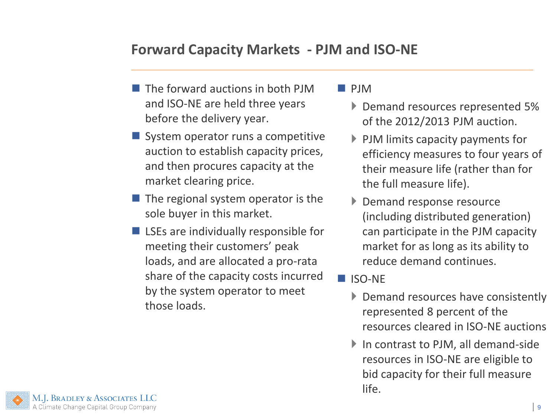### **Forward Capacity Markets - PJM and ISO-NE**

- $\blacksquare$  The forward auctions in both PJM and ISO-NE are held three years before the delivery year.
- System operator runs a competitive auction to establish capacity prices, and then procures capacity at the market clearing price.
- $\blacksquare$  The regional system operator is the sole buyer in this market.
- LSEs are individually responsible for meeting their customers' peak loads, and are allocated a pro-rata share of the capacity costs incurred by the system operator to meet those loads.

#### **PJM**

- **Demand resources represented 5%** of the 2012/2013 PJM auction.
- $\blacktriangleright$  PJM limits capacity payments for efficiency measures to four years of their measure life (rather than for the full measure life).
- Demand response resource (including distributed generation) can participate in the PJM capacity market for as long as its ability to reduce demand continues.
- ISO-NE
	- ▶ Demand resources have consistently represented 8 percent of the resources cleared in ISO-NE auctions
	- ▶ In contrast to PJM, all demand-side resources in ISO-NE are eligible to bid capacity for their full measure life.

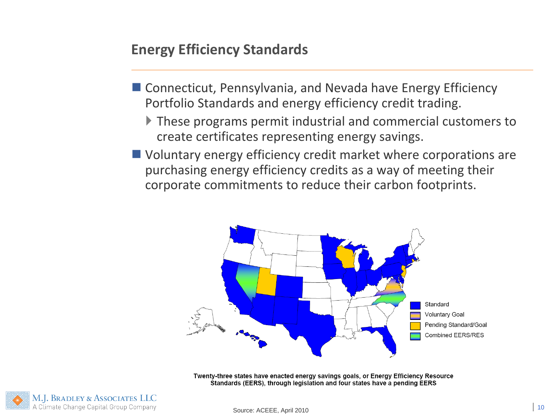### **Energy Efficiency Standards**

- Connecticut, Pennsylvania, and Nevada have Energy Efficiency Portfolio Standards and energy efficiency credit trading.
	- These programs permit industrial and commercial customers to create certificates representing energy savings.
- Voluntary energy efficiency credit market where corporations are purchasing energy efficiency credits as a way of meeting their corporate commitments to reduce their carbon footprints.



Twenty-three states have enacted energy savings goals, or Energy Efficiency Resource Standards (EERS), through legislation and four states have a pending EERS

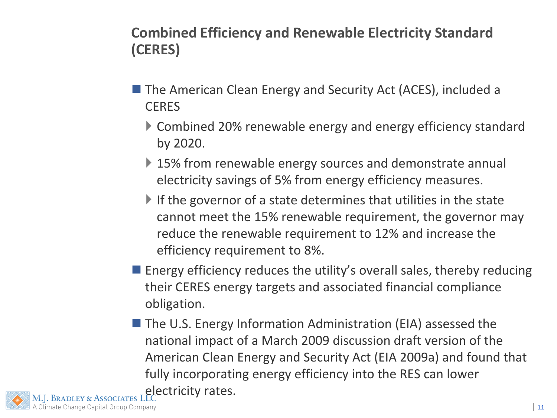**Combined Efficiency and Renewable Electricity Standard (CERES)** 

- The American Clean Energy and Security Act (ACES), included a **CERES** 
	- Combined 20% renewable energy and energy efficiency standard by 2020.
	- ▶ 15% from renewable energy sources and demonstrate annual electricity savings of 5% from energy efficiency measures.
	- If the governor of a state determines that utilities in the state cannot meet the 15% renewable requirement, the governor may reduce the renewable requirement to 12% and increase the efficiency requirement to 8%.
- $\blacksquare$  Energy efficiency reduces the utility's overall sales, thereby reducing their CERES energy targets and associated financial compliance obligation.
- The U.S. Energy Information Administration (EIA) assessed the national impact of a March 2009 discussion draft version of the American Clean Energy and Security Act (EIA 2009a) and found that fully incorporating energy efficiency into the RES can lower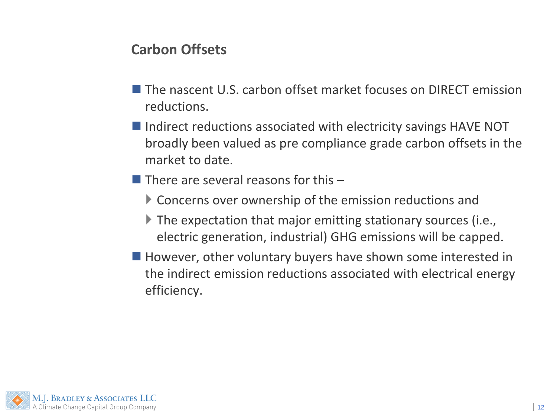### **Carbon Offsets**

- **The nascent U.S. carbon offset market focuses on DIRECT emission** reductions.
- $\blacksquare$  Indirect reductions associated with electricity savings HAVE NOT broadly been valued as pre compliance grade carbon offsets in the market to date.
- $\blacksquare$  There are several reasons for this  $\blacksquare$ 
	- Concerns over ownership of the emission reductions and
	- ▶ The expectation that major emitting stationary sources (i.e., electric generation, industrial) GHG emissions will be capped.
- However, other voluntary buyers have shown some interested in the indirect emission reductions associated with electrical energy efficiency.

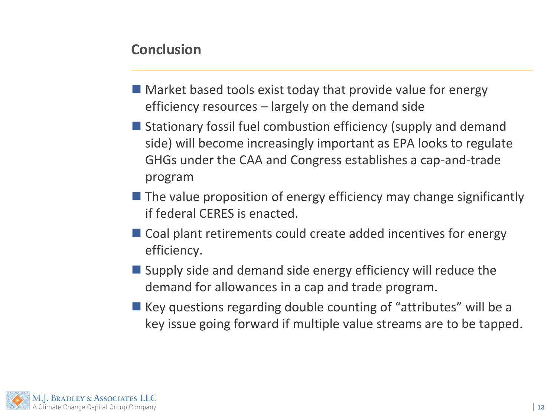#### **Conclusion**

- **Market based tools exist today that provide value for energy** efficiency resources – largely on the demand side
- Stationary fossil fuel combustion efficiency (supply and demand side) will become increasingly important as EPA looks to regulate GHGs under the CAA and Congress establishes a cap-and-trade program
- $\blacksquare$  The value proposition of energy efficiency may change significantly if federal CERES is enacted.
- Coal plant retirements could create added incentives for energy efficiency.
- Supply side and demand side energy efficiency will reduce the demand for allowances in a cap and trade program.
- $\blacksquare$  Key questions regarding double counting of "attributes" will be a key issue going forward if multiple value streams are to be tapped.